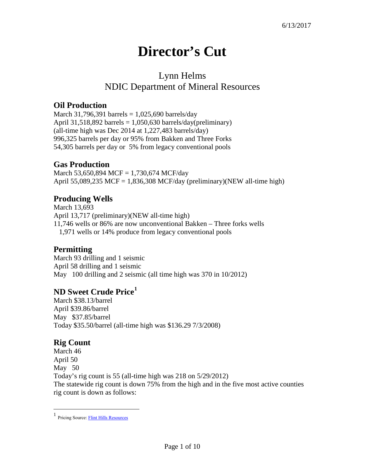# **Director's Cut**

# Lynn Helms NDIC Department of Mineral Resources

# **Oil Production**

March 31,796,391 barrels =  $1,025,690$  barrels/day April 31,518,892 barrels =  $1,050,630$  barrels/day(preliminary) (all-time high was Dec 2014 at 1,227,483 barrels/day) 996,325 barrels per day or 95% from Bakken and Three Forks 54,305 barrels per day or 5% from legacy conventional pools

#### **Gas Production**

March 53,650,894 MCF = 1,730,674 MCF/day April 55,089,235 MCF = 1,836,308 MCF/day (preliminary)(NEW all-time high)

# **Producing Wells**

March 13,693 April 13,717 (preliminary)(NEW all-time high) 11,746 wells or 86% are now unconventional Bakken – Three forks wells 1,971 wells or 14% produce from legacy conventional pools

#### **Permitting**

March 93 drilling and 1 seismic April 58 drilling and 1 seismic May 100 drilling and 2 seismic (all time high was 370 in 10/2012)

# **ND Sweet Crude Price[1](#page-0-0)**

March \$38.13/barrel April \$39.86/barrel May \$37.85/barrel Today \$35.50/barrel (all-time high was \$136.29 7/3/2008)

#### **Rig Count**

 $\overline{a}$ 

March 46 April 50 May 50 Today's rig count is 55 (all-time high was 218 on 5/29/2012) The statewide rig count is down 75% from the high and in the five most active counties rig count is down as follows:

<span id="page-0-0"></span><sup>1</sup> Pricing Source[: Flint Hills Resources](http://www.fhr.com/refining/bulletins.aspx?AspxAutoDetectCookieSupport=1)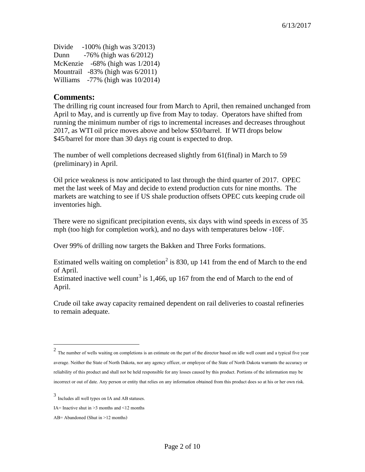Divide -100% (high was 3/2013) Dunn -76% (high was 6/2012) McKenzie -68% (high was 1/2014) Mountrail -83% (high was 6/2011) Williams -77% (high was 10/2014)

#### **Comments:**

The drilling rig count increased four from March to April, then remained unchanged from April to May, and is currently up five from May to today. Operators have shifted from running the minimum number of rigs to incremental increases and decreases throughout 2017, as WTI oil price moves above and below \$50/barrel. If WTI drops below \$45/barrel for more than 30 days rig count is expected to drop.

The number of well completions decreased slightly from 61(final) in March to 59 (preliminary) in April.

Oil price weakness is now anticipated to last through the third quarter of 2017. OPEC met the last week of May and decide to extend production cuts for nine months. The markets are watching to see if US shale production offsets OPEC cuts keeping crude oil inventories high.

There were no significant precipitation events, six days with wind speeds in excess of 35 mph (too high for completion work), and no days with temperatures below -10F.

Over 99% of drilling now targets the Bakken and Three Forks formations.

Estimated wells waiting on completion<sup>[2](#page-1-0)</sup> is 830, up 141 from the end of March to the end of April.

Estimated inactive well count<sup>[3](#page-1-1)</sup> is 1,466, up 167 from the end of March to the end of April.

Crude oil take away capacity remained dependent on rail deliveries to coastal refineries to remain adequate.

 $\overline{a}$ 

<span id="page-1-0"></span> $2$  The number of wells waiting on completions is an estimate on the part of the director based on idle well count and a typical five year average. Neither the State of North Dakota, nor any agency officer, or employee of the State of North Dakota warrants the accuracy or reliability of this product and shall not be held responsible for any losses caused by this product. Portions of the information may be incorrect or out of date. Any person or entity that relies on any information obtained from this product does so at his or her own risk.

<span id="page-1-1"></span><sup>3</sup> Includes all well types on IA and AB statuses.

IA= Inactive shut in  $\geq$ 3 months and  $\leq$ 12 months

AB= Abandoned (Shut in >12 months)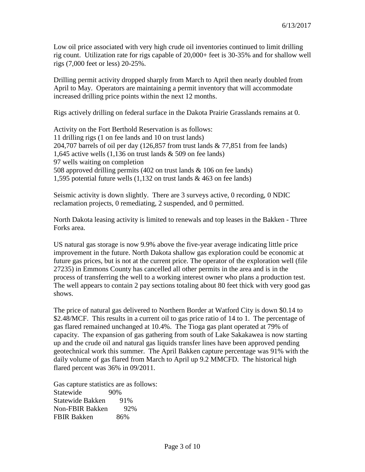Low oil price associated with very high crude oil inventories continued to limit drilling rig count. Utilization rate for rigs capable of 20,000+ feet is 30-35% and for shallow well rigs (7,000 feet or less) 20-25%.

Drilling permit activity dropped sharply from March to April then nearly doubled from April to May. Operators are maintaining a permit inventory that will accommodate increased drilling price points within the next 12 months.

Rigs actively drilling on federal surface in the Dakota Prairie Grasslands remains at 0.

Activity on the Fort Berthold Reservation is as follows: 11 drilling rigs (1 on fee lands and 10 on trust lands) 204,707 barrels of oil per day (126,857 from trust lands & 77,851 from fee lands) 1,645 active wells (1,136 on trust lands & 509 on fee lands) 97 wells waiting on completion 508 approved drilling permits (402 on trust lands & 106 on fee lands) 1,595 potential future wells (1,132 on trust lands & 463 on fee lands)

Seismic activity is down slightly. There are 3 surveys active, 0 recording, 0 NDIC reclamation projects, 0 remediating, 2 suspended, and 0 permitted.

North Dakota leasing activity is limited to renewals and top leases in the Bakken - Three Forks area.

US natural gas storage is now 9.9% above the five-year average indicating little price improvement in the future. North Dakota shallow gas exploration could be economic at future gas prices, but is not at the current price. The operator of the exploration well (file 27235) in Emmons County has cancelled all other permits in the area and is in the process of transferring the well to a working interest owner who plans a production test. The well appears to contain 2 pay sections totaling about 80 feet thick with very good gas shows.

The price of natural gas delivered to Northern Border at Watford City is down \$0.14 to \$2.48/MCF. This results in a current oil to gas price ratio of 14 to 1. The percentage of gas flared remained unchanged at 10.4%. The Tioga gas plant operated at 79% of capacity. The expansion of gas gathering from south of Lake Sakakawea is now starting up and the crude oil and natural gas liquids transfer lines have been approved pending geotechnical work this summer. The April Bakken capture percentage was 91% with the daily volume of gas flared from March to April up 9.2 MMCFD. The historical high flared percent was 36% in 09/2011.

Gas capture statistics are as follows: Statewide 90% Statewide Bakken 91% Non-FBIR Bakken 92% FBIR Bakken 86%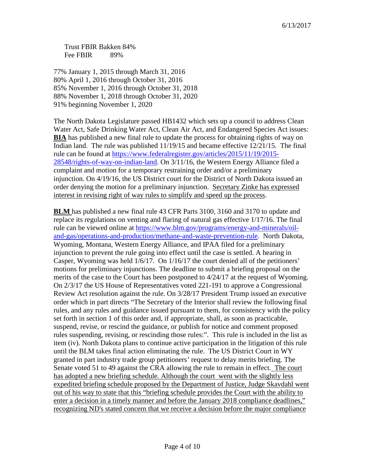Trust FBIR Bakken 84% Fee FBIR 89%

77% January 1, 2015 through March 31, 2016 80% April 1, 2016 through October 31, 2016 85% November 1, 2016 through October 31, 2018 88% November 1, 2018 through October 31, 2020 91% beginning November 1, 2020

The North Dakota Legislature passed HB1432 which sets up a council to address Clean Water Act, Safe Drinking Water Act, Clean Air Act, and Endangered Species Act issues: **BIA** has published a new final rule to update the process for obtaining rights of way on Indian land. The rule was published 11/19/15 and became effective 12/21/15. The final rule can be found at [https://www.federalregister.gov/articles/2015/11/19/2015-](https://www.federalregister.gov/articles/2015/11/19/2015-28548/rights-of-way-on-indian-land) [28548/rights-of-way-on-indian-land.](https://www.federalregister.gov/articles/2015/11/19/2015-28548/rights-of-way-on-indian-land) On 3/11/16, the Western Energy Alliance filed a complaint and motion for a temporary restraining order and/or a preliminary injunction. On 4/19/16, the US District court for the District of North Dakota issued an order denying the motion for a preliminary injunction. Secretary Zinke has expressed interest in revising right of way rules to simplify and speed up the process.

**BLM** has published a new final rule 43 CFR Parts 3100, 3160 and 3170 to update and replace its regulations on venting and flaring of natural gas effective 1/17/16. The final rule can be viewed online at [https://www.blm.gov/programs/energy-and-minerals/oil](https://www.blm.gov/programs/energy-and-minerals/oil-and-gas/operations-and-production/methane-and-waste-prevention-rule)[and-gas/operations-and-production/methane-and-waste-prevention-rule.](https://www.blm.gov/programs/energy-and-minerals/oil-and-gas/operations-and-production/methane-and-waste-prevention-rule) North Dakota, Wyoming, Montana, Western Energy Alliance, and IPAA filed for a preliminary injunction to prevent the rule going into effect until the case is settled. A hearing in Casper, Wyoming was held 1/6/17. On 1/16/17 the court denied all of the petitioners' motions for preliminary injunctions. The deadline to submit a briefing proposal on the merits of the case to the Court has been postponed to 4/24/17 at the request of Wyoming. On 2/3/17 the US House of Representatives voted 221-191 to approve a Congressional Review Act resolution against the rule. On 3/28/17 President Trump issued an executive order which in part directs "The Secretary of the Interior shall review the following final rules, and any rules and guidance issued pursuant to them, for consistency with the policy set forth in section 1 of this order and, if appropriate, shall, as soon as practicable, suspend, revise, or rescind the guidance, or publish for notice and comment proposed rules suspending, revising, or rescinding those rules:". This rule is included in the list as item (iv). North Dakota plans to continue active participation in the litigation of this rule until the BLM takes final action eliminating the rule. The US District Court in WY granted in part industry trade group petitioners' request to delay merits briefing. The Senate voted 51 to 49 against the CRA allowing the rule to remain in effect. The court has adopted a new briefing schedule. Although the court went with the slightly less expedited briefing schedule proposed by the Department of Justice, Judge Skavdahl went out of his way to state that this "briefing schedule provides the Court with the ability to enter a decision in a timely manner and before the January 2018 compliance deadlines," recognizing ND's stated concern that we receive a decision before the major compliance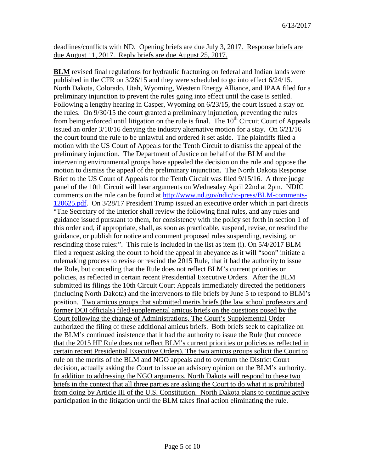deadlines/conflicts with ND. Opening briefs are due July 3, 2017. Response briefs are due August 11, 2017. Reply briefs are due August 25, 2017.

**BLM** revised final regulations for hydraulic fracturing on federal and Indian lands were published in the CFR on 3/26/15 and they were scheduled to go into effect 6/24/15. North Dakota, Colorado, Utah, Wyoming, Western Energy Alliance, and IPAA filed for a preliminary injunction to prevent the rules going into effect until the case is settled. Following a lengthy hearing in Casper, Wyoming on 6/23/15, the court issued a stay on the rules. On 9/30/15 the court granted a preliminary injunction, preventing the rules from being enforced until litigation on the rule is final. The  $10<sup>th</sup>$  Circuit Court of Appeals issued an order 3/10/16 denying the industry alternative motion for a stay. On 6/21/16 the court found the rule to be unlawful and ordered it set aside. The plaintiffs filed a motion with the US Court of Appeals for the Tenth Circuit to dismiss the appeal of the preliminary injunction. The Department of Justice on behalf of the BLM and the intervening environmental groups have appealed the decision on the rule and oppose the motion to dismiss the appeal of the preliminary injunction. The North Dakota Response Brief to the US Court of Appeals for the Tenth Circuit was filed 9/15/16. A three judge panel of the 10th Circuit will hear arguments on Wednesday April 22nd at 2pm. NDIC comments on the rule can be found at [http://www.nd.gov/ndic/ic-press/BLM-comments-](http://www.nd.gov/ndic/ic-press/BLM-comments-120625.pdf)[120625.pdf.](http://www.nd.gov/ndic/ic-press/BLM-comments-120625.pdf) On 3/28/17 President Trump issued an executive order which in part directs "The Secretary of the Interior shall review the following final rules, and any rules and guidance issued pursuant to them, for consistency with the policy set forth in section 1 of this order and, if appropriate, shall, as soon as practicable, suspend, revise, or rescind the guidance, or publish for notice and comment proposed rules suspending, revising, or rescinding those rules:". This rule is included in the list as item (i). On 5/4/2017 BLM filed a request asking the court to hold the appeal in abeyance as it will "soon" initiate a rulemaking process to revise or rescind the 2015 Rule, that it had the authority to issue the Rule, but conceding that the Rule does not reflect BLM's current priorities or policies, as reflected in certain recent Presidential Executive Orders. After the BLM submitted its filings the 10th Circuit Court Appeals immediately directed the petitioners (including North Dakota) and the intervenors to file briefs by June 5 to respond to BLM's position. Two amicus groups that submitted merits briefs (the law school professors and former DOI officials) filed supplemental amicus briefs on the questions posed by the Court following the change of Administrations. The Court's Supplemental Order authorized the filing of these additional amicus briefs. Both briefs seek to capitalize on the BLM's continued insistence that it had the authority to issue the Rule (but concede that the 2015 HF Rule does not reflect BLM's current priorities or policies as reflected in certain recent Presidential Executive Orders). The two amicus groups solicit the Court to rule on the merits of the BLM and NGO appeals and to overturn the District Court decision, actually asking the Court to issue an advisory opinion on the BLM's authority. In addition to addressing the NGO arguments, North Dakota will respond to these two briefs in the context that all three parties are asking the Court to do what it is prohibited from doing by Article III of the U.S. Constitution. North Dakota plans to continue active participation in the litigation until the BLM takes final action eliminating the rule.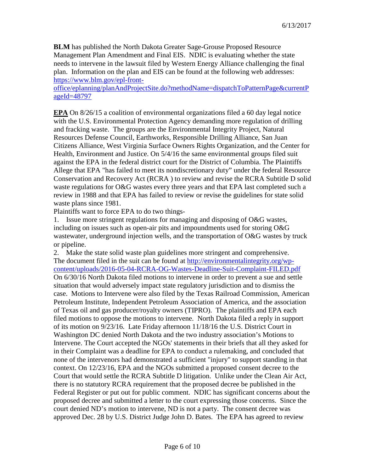**BLM** has published the North Dakota Greater Sage-Grouse Proposed Resource Management Plan Amendment and Final EIS. NDIC is evaluating whether the state needs to intervene in the lawsuit filed by Western Energy Alliance challenging the final plan. Information on the plan and EIS can be found at the following web addresses: [https://www.blm.gov/epl-front-](https://www.blm.gov/epl-front-office/eplanning/planAndProjectSite.do?methodName=dispatchToPatternPage¤tPageId=48797)

[office/eplanning/planAndProjectSite.do?methodName=dispatchToPatternPage&currentP](https://www.blm.gov/epl-front-office/eplanning/planAndProjectSite.do?methodName=dispatchToPatternPage¤tPageId=48797) [ageId=48797](https://www.blm.gov/epl-front-office/eplanning/planAndProjectSite.do?methodName=dispatchToPatternPage¤tPageId=48797)

**EPA** On 8/26/15 a coalition of environmental organizations filed a 60 day legal notice with the U.S. Environmental Protection Agency demanding more regulation of drilling and fracking waste. The groups are the Environmental Integrity Project, Natural Resources Defense Council, Earthworks, Responsible Drilling Alliance, San Juan Citizens Alliance, West Virginia Surface Owners Rights Organization, and the Center for Health, Environment and Justice. On 5/4/16 the same environmental groups filed suit against the EPA in the federal district court for the District of Columbia. The Plaintiffs Allege that EPA "has failed to meet its nondiscretionary duty" under the federal Resource Conservation and Recovery Act (RCRA ) to review and revise the RCRA Subtitle D solid waste regulations for O&G wastes every three years and that EPA last completed such a review in 1988 and that EPA has failed to review or revise the guidelines for state solid waste plans since 1981.

Plaintiffs want to force EPA to do two things-

1. Issue more stringent regulations for managing and disposing of O&G wastes, including on issues such as open-air pits and impoundments used for storing O&G wastewater, underground injection wells, and the transportation of O&G wastes by truck or pipeline.

2. Make the state solid waste plan guidelines more stringent and comprehensive. The document filed in the suit can be found at [http://environmentalintegrity.org/wp](http://environmentalintegrity.org/wp-content/uploads/2016-05-04-RCRA-OG-Wastes-Deadline-Suit-Complaint-FILED.pdf)[content/uploads/2016-05-04-RCRA-OG-Wastes-Deadline-Suit-Complaint-FILED.pdf](http://environmentalintegrity.org/wp-content/uploads/2016-05-04-RCRA-OG-Wastes-Deadline-Suit-Complaint-FILED.pdf) On 6/30/16 North Dakota filed motions to intervene in order to prevent a sue and settle situation that would adversely impact state regulatory jurisdiction and to dismiss the case. Motions to Intervene were also filed by the Texas Railroad Commission, American Petroleum Institute, Independent Petroleum Association of America, and the association of Texas oil and gas producer/royalty owners (TIPRO). The plaintiffs and EPA each filed motions to oppose the motions to intervene. North Dakota filed a reply in support of its motion on 9/23/16. Late Friday afternoon 11/18/16 the U.S. District Court in Washington DC denied North Dakota and the two industry association's Motions to Intervene. The Court accepted the NGOs' statements in their briefs that all they asked for in their Complaint was a deadline for EPA to conduct a rulemaking, and concluded that none of the intervenors had demonstrated a sufficient "injury" to support standing in that context. On 12/23/16, EPA and the NGOs submitted a proposed consent decree to the Court that would settle the RCRA Subtitle D litigation. Unlike under the Clean Air Act, there is no statutory RCRA requirement that the proposed decree be published in the Federal Register or put out for public comment. NDIC has significant concerns about the proposed decree and submitted a letter to the court expressing those concerns. Since the court denied ND's motion to intervene, ND is not a party. The consent decree was approved Dec. 28 by U.S. District Judge John D. Bates. The EPA has agreed to review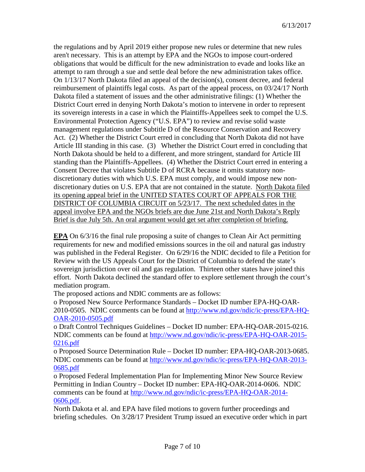the regulations and by April 2019 either propose new rules or determine that new rules aren't necessary. This is an attempt by EPA and the NGOs to impose court-ordered obligations that would be difficult for the new administration to evade and looks like an attempt to ram through a sue and settle deal before the new administration takes office. On 1/13/17 North Dakota filed an appeal of the decision(s), consent decree, and federal reimbursement of plaintiffs legal costs. As part of the appeal process, on 03/24/17 North Dakota filed a statement of issues and the other administrative filings: (1) Whether the District Court erred in denying North Dakota's motion to intervene in order to represent its sovereign interests in a case in which the Plaintiffs-Appellees seek to compel the U.S. Environmental Protection Agency ("U.S. EPA") to review and revise solid waste management regulations under Subtitle D of the Resource Conservation and Recovery Act. (2) Whether the District Court erred in concluding that North Dakota did not have Article III standing in this case. (3) Whether the District Court erred in concluding that North Dakota should be held to a different, and more stringent, standard for Article III standing than the Plaintiffs-Appellees. (4) Whether the District Court erred in entering a Consent Decree that violates Subtitle D of RCRA because it omits statutory nondiscretionary duties with which U.S. EPA must comply, and would impose new nondiscretionary duties on U.S. EPA that are not contained in the statute. North Dakota filed its opening appeal brief in the UNITED STATES COURT OF APPEALS FOR THE DISTRICT OF COLUMBIA CIRCUIT on 5/23/17. The next scheduled dates in the appeal involve EPA and the NGOs briefs are due June 21st and North Dakota's Reply Brief is due July 5th. An oral argument would get set after completion of briefing.

**EPA** On 6/3/16 the final rule proposing a suite of changes to Clean Air Act permitting requirements for new and modified emissions sources in the oil and natural gas industry was published in the Federal Register. On 6/29/16 the NDIC decided to file a Petition for Review with the US Appeals Court for the District of Columbia to defend the state's sovereign jurisdiction over oil and gas regulation. Thirteen other states have joined this effort. North Dakota declined the standard offer to explore settlement through the court's mediation program.

The proposed actions and NDIC comments are as follows:

o Proposed New Source Performance Standards – Docket ID number EPA-HQ-OAR-2010-0505. NDIC comments can be found at [http://www.nd.gov/ndic/ic-press/EPA-HQ-](http://www.nd.gov/ndic/ic-press/EPA-HQ-OAR-2010-0505.pdf)[OAR-2010-0505.pdf](http://www.nd.gov/ndic/ic-press/EPA-HQ-OAR-2010-0505.pdf)

o Draft Control Techniques Guidelines – Docket ID number: EPA-HQ-OAR-2015-0216. NDIC comments can be found at [http://www.nd.gov/ndic/ic-press/EPA-HQ-OAR-2015-](http://www.nd.gov/ndic/ic-press/EPA-HQ-OAR-2015-0216.pdf) [0216.pdf](http://www.nd.gov/ndic/ic-press/EPA-HQ-OAR-2015-0216.pdf)

o Proposed Source Determination Rule – Docket ID number: EPA-HQ-OAR-2013-0685. NDIC comments can be found at [http://www.nd.gov/ndic/ic-press/EPA-HQ-OAR-2013-](http://www.nd.gov/ndic/ic-press/EPA-HQ-OAR-2013-0685.pdf) [0685.pdf](http://www.nd.gov/ndic/ic-press/EPA-HQ-OAR-2013-0685.pdf)

o Proposed Federal Implementation Plan for Implementing Minor New Source Review Permitting in Indian Country – Docket ID number: EPA-HQ-OAR-2014-0606. NDIC comments can be found at [http://www.nd.gov/ndic/ic-press/EPA-HQ-OAR-2014-](http://www.nd.gov/ndic/ic-press/EPA-HQ-OAR-2014-0606.pdf) [0606.pdf.](http://www.nd.gov/ndic/ic-press/EPA-HQ-OAR-2014-0606.pdf)

North Dakota et al. and EPA have filed motions to govern further proceedings and briefing schedules. On 3/28/17 President Trump issued an executive order which in part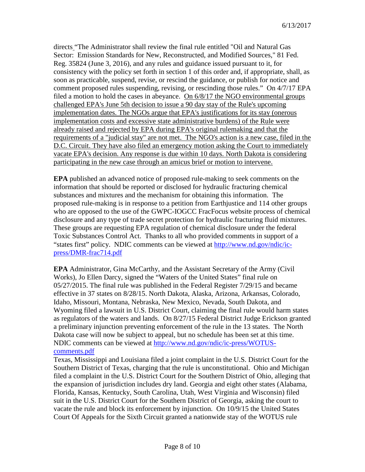directs "The Administrator shall review the final rule entitled "Oil and Natural Gas Sector: Emission Standards for New, Reconstructed, and Modified Sources," 81 Fed. Reg. 35824 (June 3, 2016), and any rules and guidance issued pursuant to it, for consistency with the policy set forth in section 1 of this order and, if appropriate, shall, as soon as practicable, suspend, revise, or rescind the guidance, or publish for notice and comment proposed rules suspending, revising, or rescinding those rules." On 4/7/17 EPA filed a motion to hold the cases in abeyance. On 6/8/17 the NGO environmental groups challenged EPA's June 5th decision to issue a 90 day stay of the Rule's upcoming implementation dates. The NGOs argue that EPA's justifications for its stay (onerous implementation costs and excessive state administrative burdens) of the Rule were already raised and rejected by EPA during EPA's original rulemaking and that the requirements of a "judicial stay" are not met. The NGO's action is a new case, filed in the D.C. Circuit. They have also filed an emergency motion asking the Court to immediately vacate EPA's decision. Any response is due within 10 days. North Dakota is considering participating in the new case through an amicus brief or motion to intervene.

**EPA** published an advanced notice of proposed rule-making to seek comments on the information that should be reported or disclosed for hydraulic fracturing chemical substances and mixtures and the mechanism for obtaining this information. The proposed rule-making is in response to a petition from Earthjustice and 114 other groups who are opposed to the use of the GWPC-IOGCC FracFocus website process of chemical disclosure and any type of trade secret protection for hydraulic fracturing fluid mixtures. These groups are requesting EPA regulation of chemical disclosure under the federal Toxic Substances Control Act. Thanks to all who provided comments in support of a "states first" policy. NDIC comments can be viewed at [http://www.nd.gov/ndic/ic](http://www.nd.gov/ndic/ic-press/DMR-frac714.pdf)[press/DMR-frac714.pdf](http://www.nd.gov/ndic/ic-press/DMR-frac714.pdf)

**EPA** Administrator, Gina McCarthy, and the Assistant Secretary of the Army (Civil Works), Jo Ellen Darcy, signed the "Waters of the United States" final rule on 05/27/2015. The final rule was published in the Federal Register 7/29/15 and became effective in 37 states on 8/28/15. North Dakota, Alaska, Arizona, Arkansas, Colorado, Idaho, Missouri, Montana, Nebraska, New Mexico, Nevada, South Dakota, and Wyoming filed a lawsuit in U.S. District Court, claiming the final rule would harm states as regulators of the waters and lands. On 8/27/15 Federal District Judge Erickson granted a preliminary injunction preventing enforcement of the rule in the 13 states. The North Dakota case will now be subject to appeal, but no schedule has been set at this time. NDIC comments can be viewed at [http://www.nd.gov/ndic/ic-press/WOTUS](http://www.nd.gov/ndic/ic-press/WOTUS-comments.pdf)[comments.pdf](http://www.nd.gov/ndic/ic-press/WOTUS-comments.pdf)

Texas, Mississippi and Louisiana filed a joint complaint in the U.S. District Court for the Southern District of Texas, charging that the rule is unconstitutional. Ohio and Michigan filed a complaint in the U.S. District Court for the Southern District of Ohio, alleging that the expansion of jurisdiction includes dry land. Georgia and eight other states (Alabama, Florida, Kansas, Kentucky, South Carolina, Utah, West Virginia and Wisconsin) filed suit in the U.S. District Court for the Southern District of Georgia, asking the court to vacate the rule and block its enforcement by injunction. On 10/9/15 the United States Court Of Appeals for the Sixth Circuit granted a nationwide stay of the WOTUS rule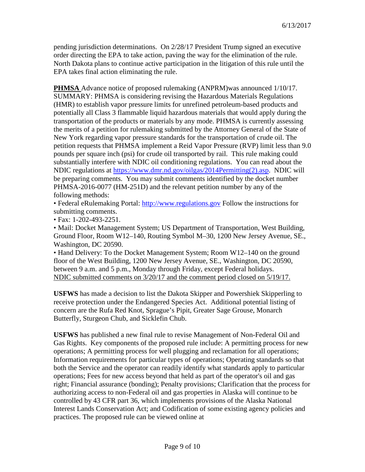pending jurisdiction determinations. On 2/28/17 President Trump signed an executive order directing the EPA to take action, paving the way for the elimination of the rule. North Dakota plans to continue active participation in the litigation of this rule until the EPA takes final action eliminating the rule.

**PHMSA** Advance notice of proposed rulemaking (ANPRM)was announced 1/10/17. SUMMARY: PHMSA is considering revising the Hazardous Materials Regulations (HMR) to establish vapor pressure limits for unrefined petroleum-based products and potentially all Class 3 flammable liquid hazardous materials that would apply during the transportation of the products or materials by any mode. PHMSA is currently assessing the merits of a petition for rulemaking submitted by the Attorney General of the State of New York regarding vapor pressure standards for the transportation of crude oil. The petition requests that PHMSA implement a Reid Vapor Pressure (RVP) limit less than 9.0 pounds per square inch (psi) for crude oil transported by rail. This rule making could substantially interfere with NDIC oil conditioning regulations. You can read about the NDIC regulations at [https://www.dmr.nd.gov/oilgas/2014Permitting\(2\).asp.](https://www.dmr.nd.gov/oilgas/2014Permitting(2).asp) NDIC will be preparing comments. You may submit comments identified by the docket number PHMSA-2016-0077 (HM-251D) and the relevant petition number by any of the following methods:

• Federal eRulemaking Portal: [http://www.regulations.gov](http://www.regulations.gov/) Follow the instructions for submitting comments.

• Fax: 1-202-493-2251.

• Mail: Docket Management System; US Department of Transportation, West Building, Ground Floor, Room W12–140, Routing Symbol M–30, 1200 New Jersey Avenue, SE., Washington, DC 20590.

• Hand Delivery: To the Docket Management System; Room W12–140 on the ground floor of the West Building, 1200 New Jersey Avenue, SE., Washington, DC 20590, between 9 a.m. and 5 p.m., Monday through Friday, except Federal holidays. NDIC submitted comments on 3/20/17 and the comment period closed on 5/19/17.

**USFWS** has made a decision to list the Dakota Skipper and Powershiek Skipperling to receive protection under the Endangered Species Act. Additional potential listing of concern are the Rufa Red Knot, Sprague's Pipit, Greater Sage Grouse, Monarch Butterfly, Sturgeon Chub, and Sicklefin Chub.

**USFWS** has published a new final rule to revise Management of Non-Federal Oil and Gas Rights. Key components of the proposed rule include: A permitting process for new operations; A permitting process for well plugging and reclamation for all operations; Information requirements for particular types of operations; Operating standards so that both the Service and the operator can readily identify what standards apply to particular operations; Fees for new access beyond that held as part of the operator's oil and gas right; Financial assurance (bonding); Penalty provisions; Clarification that the process for authorizing access to non-Federal oil and gas properties in Alaska will continue to be controlled by 43 CFR part 36, which implements provisions of the Alaska National Interest Lands Conservation Act; and Codification of some existing agency policies and practices. The proposed rule can be viewed online at